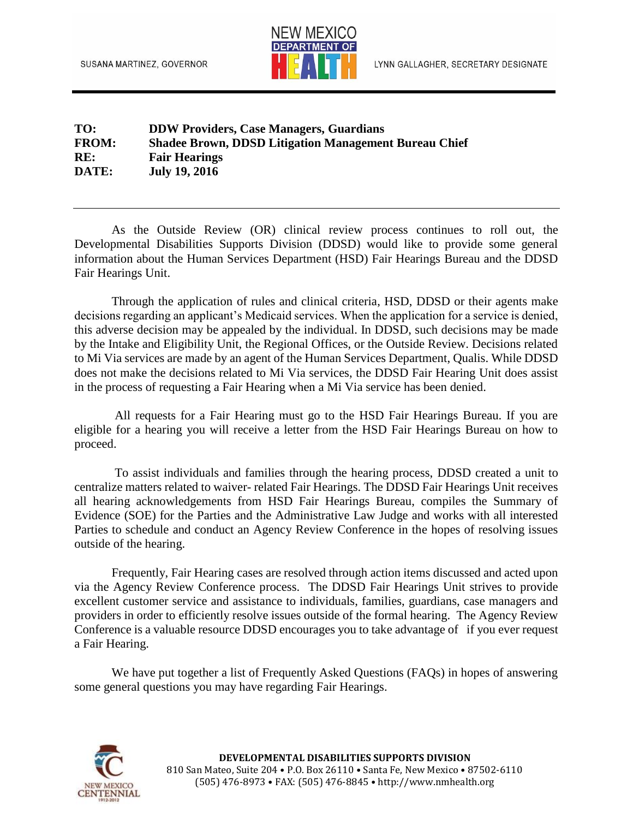

## **TO: DDW Providers, Case Managers, Guardians FROM: Shadee Brown, DDSD Litigation Management Bureau Chief RE: Fair Hearings DATE: July 19, 2016**

As the Outside Review (OR) clinical review process continues to roll out, the Developmental Disabilities Supports Division (DDSD) would like to provide some general information about the Human Services Department (HSD) Fair Hearings Bureau and the DDSD Fair Hearings Unit.

Through the application of rules and clinical criteria, HSD, DDSD or their agents make decisions regarding an applicant's Medicaid services. When the application for a service is denied, this adverse decision may be appealed by the individual. In DDSD, such decisions may be made by the Intake and Eligibility Unit, the Regional Offices, or the Outside Review. Decisions related to Mi Via services are made by an agent of the Human Services Department, Qualis. While DDSD does not make the decisions related to Mi Via services, the DDSD Fair Hearing Unit does assist in the process of requesting a Fair Hearing when a Mi Via service has been denied.

All requests for a Fair Hearing must go to the HSD Fair Hearings Bureau. If you are eligible for a hearing you will receive a letter from the HSD Fair Hearings Bureau on how to proceed.

To assist individuals and families through the hearing process, DDSD created a unit to centralize matters related to waiver- related Fair Hearings. The DDSD Fair Hearings Unit receives all hearing acknowledgements from HSD Fair Hearings Bureau, compiles the Summary of Evidence (SOE) for the Parties and the Administrative Law Judge and works with all interested Parties to schedule and conduct an Agency Review Conference in the hopes of resolving issues outside of the hearing.

Frequently, Fair Hearing cases are resolved through action items discussed and acted upon via the Agency Review Conference process. The DDSD Fair Hearings Unit strives to provide excellent customer service and assistance to individuals, families, guardians, case managers and providers in order to efficiently resolve issues outside of the formal hearing. The Agency Review Conference is a valuable resource DDSD encourages you to take advantage of if you ever request a Fair Hearing.

We have put together a list of Frequently Asked Questions (FAQs) in hopes of answering some general questions you may have regarding Fair Hearings.

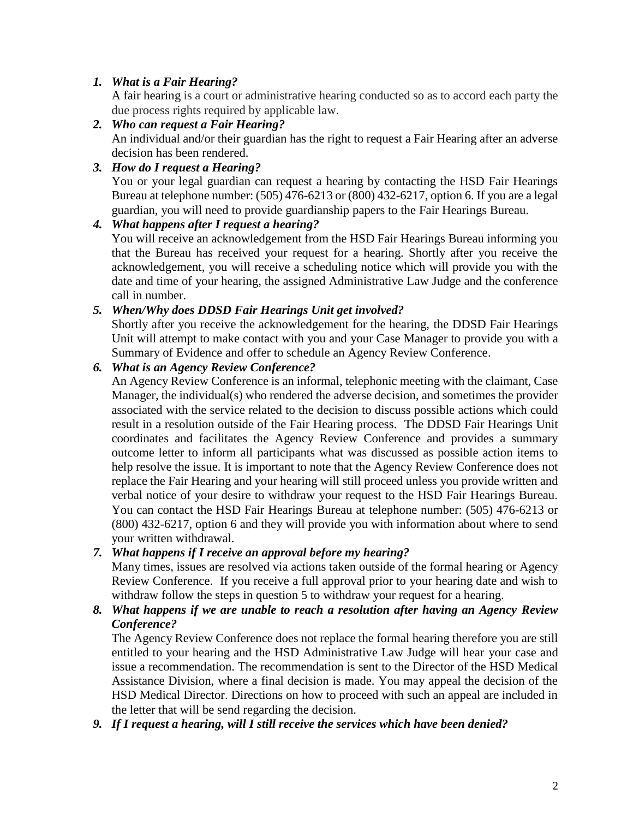### *1. What is a Fair Hearing?*

A fair hearing is a court or administrative hearing conducted so as to accord each party the due process rights required by applicable law.

- *2. Who can request a Fair Hearing?* An individual and/or their guardian has the right to request a Fair Hearing after an adverse decision has been rendered.
- *3. How do I request a Hearing?*

You or your legal guardian can request a hearing by contacting the HSD Fair Hearings Bureau at telephone number: (505) 476-6213 or (800) 432-6217, option 6. If you are a legal guardian, you will need to provide guardianship papers to the Fair Hearings Bureau.

# *4. What happens after I request a hearing?*

You will receive an acknowledgement from the HSD Fair Hearings Bureau informing you that the Bureau has received your request for a hearing. Shortly after you receive the acknowledgement, you will receive a scheduling notice which will provide you with the date and time of your hearing, the assigned Administrative Law Judge and the conference call in number.

# *5. When/Why does DDSD Fair Hearings Unit get involved?*

Shortly after you receive the acknowledgement for the hearing, the DDSD Fair Hearings Unit will attempt to make contact with you and your Case Manager to provide you with a Summary of Evidence and offer to schedule an Agency Review Conference.

# *6. What is an Agency Review Conference?*

An Agency Review Conference is an informal, telephonic meeting with the claimant, Case Manager, the individual(s) who rendered the adverse decision, and sometimes the provider associated with the service related to the decision to discuss possible actions which could result in a resolution outside of the Fair Hearing process. The DDSD Fair Hearings Unit coordinates and facilitates the Agency Review Conference and provides a summary outcome letter to inform all participants what was discussed as possible action items to help resolve the issue. It is important to note that the Agency Review Conference does not replace the Fair Hearing and your hearing will still proceed unless you provide written and verbal notice of your desire to withdraw your request to the HSD Fair Hearings Bureau. You can contact the HSD Fair Hearings Bureau at telephone number: (505) 476-6213 or (800) 432-6217, option 6 and they will provide you with information about where to send your written withdrawal.

#### *7. What happens if I receive an approval before my hearing?*

Many times, issues are resolved via actions taken outside of the formal hearing or Agency Review Conference. If you receive a full approval prior to your hearing date and wish to withdraw follow the steps in question 5 to withdraw your request for a hearing.

#### *8. What happens if we are unable to reach a resolution after having an Agency Review Conference?*

The Agency Review Conference does not replace the formal hearing therefore you are still entitled to your hearing and the HSD Administrative Law Judge will hear your case and issue a recommendation. The recommendation is sent to the Director of the HSD Medical Assistance Division, where a final decision is made. You may appeal the decision of the HSD Medical Director. Directions on how to proceed with such an appeal are included in the letter that will be send regarding the decision.

*9. If I request a hearing, will I still receive the services which have been denied?*